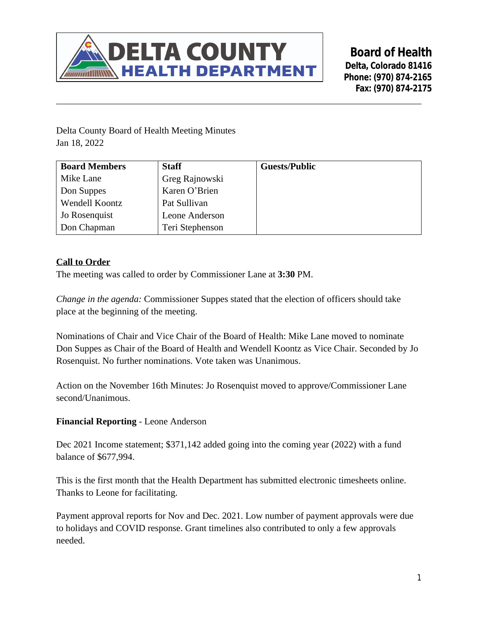

**Board of Health Delta, Colorado 81416 Phone: (970) 874-2165 Fax: (970) 874-2175**

Delta County Board of Health Meeting Minutes Jan 18, 2022

| <b>Board Members</b> | <b>Staff</b>    | <b>Guests/Public</b> |
|----------------------|-----------------|----------------------|
| Mike Lane            | Greg Rajnowski  |                      |
| Don Suppes           | Karen O'Brien   |                      |
| Wendell Koontz       | Pat Sullivan    |                      |
| Jo Rosenquist        | Leone Anderson  |                      |
| Don Chapman          | Teri Stephenson |                      |

### **Call to Order**

The meeting was called to order by Commissioner Lane at **3:30** PM.

*Change in the agenda:* Commissioner Suppes stated that the election of officers should take place at the beginning of the meeting.

Nominations of Chair and Vice Chair of the Board of Health: Mike Lane moved to nominate Don Suppes as Chair of the Board of Health and Wendell Koontz as Vice Chair. Seconded by Jo Rosenquist. No further nominations. Vote taken was Unanimous.

Action on the November 16th Minutes: Jo Rosenquist moved to approve/Commissioner Lane second/Unanimous.

#### **Financial Reporting** - Leone Anderson

Dec 2021 Income statement; \$371,142 added going into the coming year (2022) with a fund balance of \$677,994.

This is the first month that the Health Department has submitted electronic timesheets online. Thanks to Leone for facilitating.

Payment approval reports for Nov and Dec. 2021. Low number of payment approvals were due to holidays and COVID response. Grant timelines also contributed to only a few approvals needed.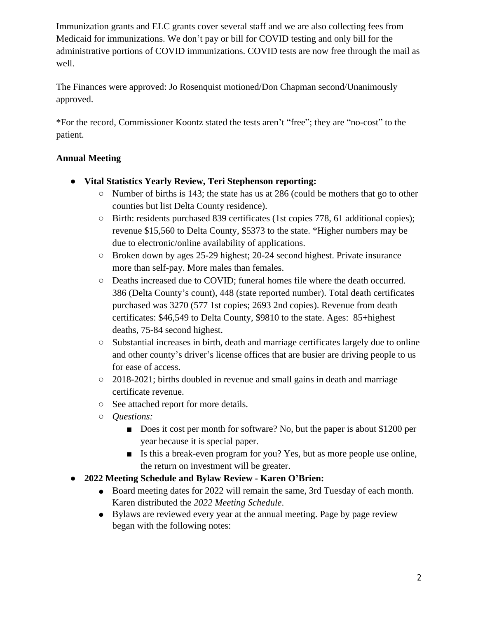Immunization grants and ELC grants cover several staff and we are also collecting fees from Medicaid for immunizations. We don't pay or bill for COVID testing and only bill for the administrative portions of COVID immunizations. COVID tests are now free through the mail as well.

The Finances were approved: Jo Rosenquist motioned/Don Chapman second/Unanimously approved.

\*For the record, Commissioner Koontz stated the tests aren't "free"; they are "no-cost" to the patient.

# **Annual Meeting**

- **● Vital Statistics Yearly Review, Teri Stephenson reporting:**
	- Number of births is 143; the state has us at 286 (could be mothers that go to other counties but list Delta County residence).
	- Birth: residents purchased 839 certificates (1st copies 778, 61 additional copies); revenue \$15,560 to Delta County, \$5373 to the state. \*Higher numbers may be due to electronic/online availability of applications.
	- Broken down by ages 25-29 highest; 20-24 second highest. Private insurance more than self-pay. More males than females.
	- Deaths increased due to COVID; funeral homes file where the death occurred. 386 (Delta County's count), 448 (state reported number). Total death certificates purchased was 3270 (577 1st copies; 2693 2nd copies). Revenue from death certificates: \$46,549 to Delta County, \$9810 to the state. Ages: 85+highest deaths, 75-84 second highest.
	- Substantial increases in birth, death and marriage certificates largely due to online and other county's driver's license offices that are busier are driving people to us for ease of access.
	- 2018-2021; births doubled in revenue and small gains in death and marriage certificate revenue.
	- See attached report for more details.
	- *Questions:*
		- Does it cost per month for software? No, but the paper is about \$1200 per year because it is special paper.
		- Is this a break-even program for you? Yes, but as more people use online, the return on investment will be greater.
- **● 2022 Meeting Schedule and Bylaw Review Karen O'Brien:**
	- Board meeting dates for 2022 will remain the same, 3rd Tuesday of each month. Karen distributed the *2022 Meeting Schedule*.
	- Bylaws are reviewed every year at the annual meeting. Page by page review began with the following notes: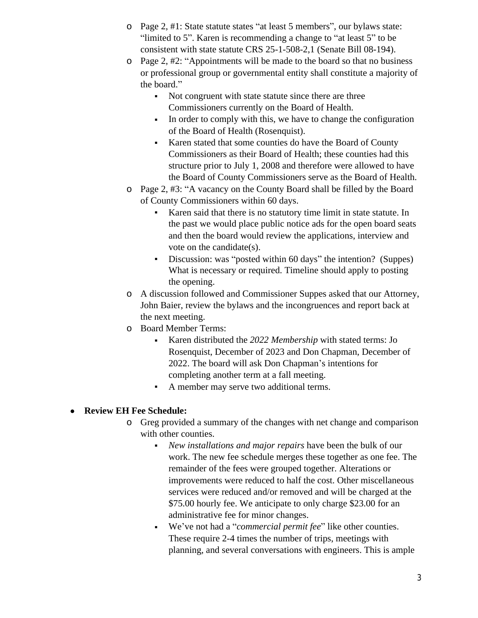- o Page 2, #1: State statute states "at least 5 members", our bylaws state: "limited to 5". Karen is recommending a change to "at least 5" to be consistent with state statute CRS 25-1-508-2,1 (Senate Bill 08-194).
- o Page 2, #2: "Appointments will be made to the board so that no business or professional group or governmental entity shall constitute a majority of the board."
	- Not congruent with state statute since there are three Commissioners currently on the Board of Health.
	- In order to comply with this, we have to change the configuration of the Board of Health (Rosenquist).
	- Karen stated that some counties do have the Board of County Commissioners as their Board of Health; these counties had this structure prior to July 1, 2008 and therefore were allowed to have the Board of County Commissioners serve as the Board of Health.
- o Page 2, #3: "A vacancy on the County Board shall be filled by the Board of County Commissioners within 60 days.
	- Karen said that there is no statutory time limit in state statute. In the past we would place public notice ads for the open board seats and then the board would review the applications, interview and vote on the candidate(s).
	- Discussion: was "posted within 60 days" the intention? (Suppes) What is necessary or required. Timeline should apply to posting the opening.
- o A discussion followed and Commissioner Suppes asked that our Attorney, John Baier, review the bylaws and the incongruences and report back at the next meeting.
- o Board Member Terms:
	- Karen distributed the *2022 Membership* with stated terms: Jo Rosenquist, December of 2023 and Don Chapman, December of 2022. The board will ask Don Chapman's intentions for completing another term at a fall meeting.
	- A member may serve two additional terms.

# **Review EH Fee Schedule:**

- o Greg provided a summary of the changes with net change and comparison with other counties.
	- *New installations and major repairs* have been the bulk of our work. The new fee schedule merges these together as one fee. The remainder of the fees were grouped together. Alterations or improvements were reduced to half the cost. Other miscellaneous services were reduced and/or removed and will be charged at the \$75.00 hourly fee. We anticipate to only charge \$23.00 for an administrative fee for minor changes.
	- We've not had a "*commercial permit fee*" like other counties. These require 2-4 times the number of trips, meetings with planning, and several conversations with engineers. This is ample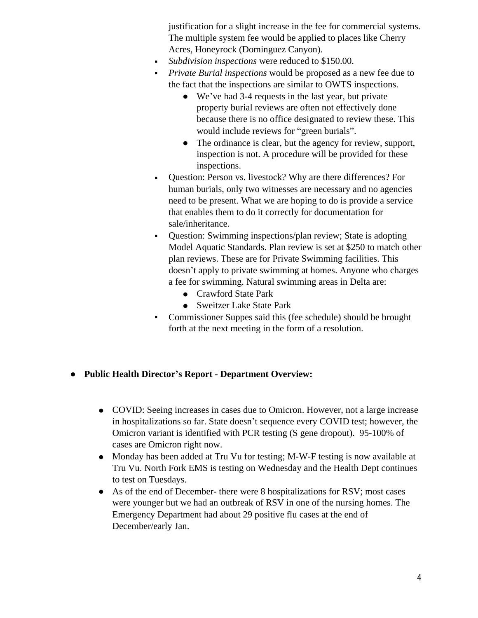justification for a slight increase in the fee for commercial systems. The multiple system fee would be applied to places like Cherry Acres, Honeyrock (Dominguez Canyon).

- *Subdivision inspections* were reduced to \$150.00.
- *Private Burial inspections* would be proposed as a new fee due to the fact that the inspections are similar to OWTS inspections.
	- We've had 3-4 requests in the last year, but private property burial reviews are often not effectively done because there is no office designated to review these. This would include reviews for "green burials".
	- The ordinance is clear, but the agency for review, support, inspection is not. A procedure will be provided for these inspections.
- Question: Person vs. livestock? Why are there differences? For human burials, only two witnesses are necessary and no agencies need to be present. What we are hoping to do is provide a service that enables them to do it correctly for documentation for sale/inheritance.
- Question: Swimming inspections/plan review; State is adopting Model Aquatic Standards. Plan review is set at \$250 to match other plan reviews. These are for Private Swimming facilities. This doesn't apply to private swimming at homes. Anyone who charges a fee for swimming. Natural swimming areas in Delta are:
	- Crawford State Park
	- Sweitzer Lake State Park
- Commissioner Suppes said this (fee schedule) should be brought forth at the next meeting in the form of a resolution.

#### **● Public Health Director's Report - Department Overview:**

- COVID: Seeing increases in cases due to Omicron. However, not a large increase in hospitalizations so far. State doesn't sequence every COVID test; however, the Omicron variant is identified with PCR testing (S gene dropout). 95-100% of cases are Omicron right now.
- Monday has been added at Tru Vu for testing; M-W-F testing is now available at Tru Vu. North Fork EMS is testing on Wednesday and the Health Dept continues to test on Tuesdays.
- As of the end of December- there were 8 hospitalizations for RSV; most cases were younger but we had an outbreak of RSV in one of the nursing homes. The Emergency Department had about 29 positive flu cases at the end of December/early Jan.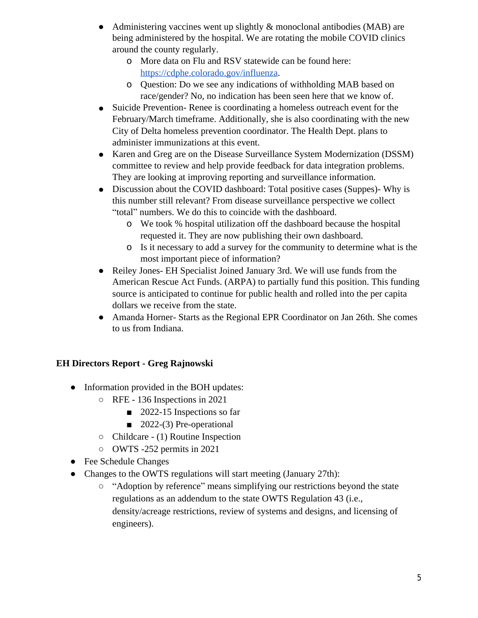- Administering vaccines went up slightly  $\&$  monoclonal antibodies (MAB) are being administered by the hospital. We are rotating the mobile COVID clinics around the county regularly.
	- o More data on Flu and RSV statewide can be found here: [https://cdphe.colorado.gov/influenza.](https://cdphe.colorado.gov/influenza)
	- o Question: Do we see any indications of withholding MAB based on race/gender? No, no indication has been seen here that we know of.
- Suicide Prevention-Renee is coordinating a homeless outreach event for the February/March timeframe. Additionally, she is also coordinating with the new City of Delta homeless prevention coordinator. The Health Dept. plans to administer immunizations at this event.
- Karen and Greg are on the Disease Surveillance System Modernization (DSSM) committee to review and help provide feedback for data integration problems. They are looking at improving reporting and surveillance information.
- Discussion about the COVID dashboard: Total positive cases (Suppes)- Why is this number still relevant? From disease surveillance perspective we collect "total" numbers. We do this to coincide with the dashboard.
	- o We took % hospital utilization off the dashboard because the hospital requested it. They are now publishing their own dashboard.
	- o Is it necessary to add a survey for the community to determine what is the most important piece of information?
- Reiley Jones- EH Specialist Joined January 3rd. We will use funds from the American Rescue Act Funds. (ARPA) to partially fund this position. This funding source is anticipated to continue for public health and rolled into the per capita dollars we receive from the state.
- Amanda Horner- Starts as the Regional EPR Coordinator on Jan 26th. She comes to us from Indiana.

# **EH Directors Report - Greg Rajnowski**

- Information provided in the BOH updates:
	- RFE 136 Inspections in 2021
		- 2022-15 Inspections so far
		- 2022-(3) Pre-operational
	- Childcare (1) Routine Inspection
	- OWTS -252 permits in 2021
- Fee Schedule Changes
- Changes to the OWTS regulations will start meeting (January 27th):
	- "Adoption by reference" means simplifying our restrictions beyond the state regulations as an addendum to the state OWTS Regulation 43 (i.e., density/acreage restrictions, review of systems and designs, and licensing of engineers).